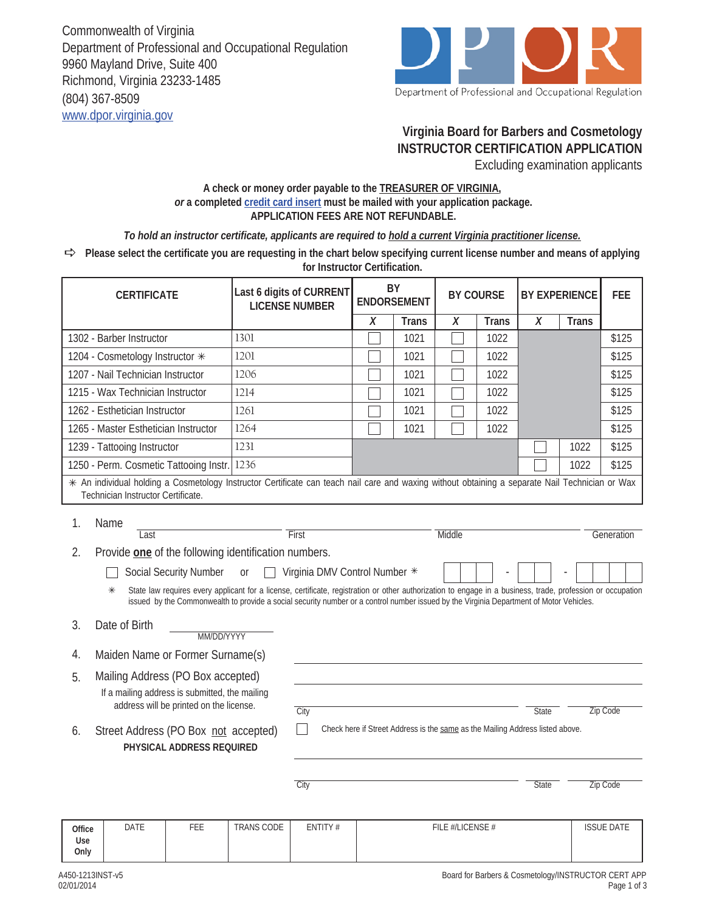Commonwealth of Virginia Department of Professional and Occupational Regulation 9960 Mayland Drive, Suite 400 Richmond, Virginia 23233-1485 (804) 367-8509 www.dpor.virginia.gov



## **Virginia Board for Barbers and Cosmetology INSTRUCTOR CERTIFICATION APPLICATION**

Excluding examination applicants

## **A check or money order payable to the TREASURER OF VIRGINIA,**  *or* **a completed credit card insert must be mailed with your application package. APPLICATION FEES ARE NOT REFUNDABLE.**

*To hold an instructor certificate, applicants are required to hold a current Virginia practitioner license.*

**Please select the certificate you are requesting in the chart below specifying current license number and means of applying for Instructor Certification.**

| <b>CERTIFICATE</b>                                                                                                                                                                                                                                                                                               |                                                                                                                        | Last 6 digits of CURRENT<br><b>LICENSE NUMBER</b> |                   | BY<br><b>ENDORSEMENT</b> |        | <b>BY COURSE</b>                                                              |                  | <b>BY EXPERIENCE</b> |              | <b>FEE</b>   |                   |
|------------------------------------------------------------------------------------------------------------------------------------------------------------------------------------------------------------------------------------------------------------------------------------------------------------------|------------------------------------------------------------------------------------------------------------------------|---------------------------------------------------|-------------------|--------------------------|--------|-------------------------------------------------------------------------------|------------------|----------------------|--------------|--------------|-------------------|
|                                                                                                                                                                                                                                                                                                                  |                                                                                                                        |                                                   |                   |                          | $\chi$ | <b>Trans</b>                                                                  | X                | <b>Trans</b>         | $\chi$       | <b>Trans</b> |                   |
| 1302 - Barber Instructor                                                                                                                                                                                                                                                                                         |                                                                                                                        |                                                   | 1301              |                          |        | 1021                                                                          |                  | 1022                 |              |              | \$125             |
| 1204 - Cosmetology Instructor *                                                                                                                                                                                                                                                                                  |                                                                                                                        |                                                   | 1201              |                          |        | 1021                                                                          |                  | 1022                 |              |              | \$125             |
| 1207 - Nail Technician Instructor                                                                                                                                                                                                                                                                                |                                                                                                                        |                                                   | 1206              |                          |        | 1021                                                                          |                  | 1022                 |              |              | \$125             |
| 1215 - Wax Technician Instructor                                                                                                                                                                                                                                                                                 |                                                                                                                        |                                                   | 1214              |                          |        | 1021                                                                          |                  | 1022                 |              |              | \$125             |
| 1262 - Esthetician Instructor                                                                                                                                                                                                                                                                                    |                                                                                                                        |                                                   | 1261              |                          |        | 1021                                                                          |                  | 1022                 |              |              | \$125             |
| 1265 - Master Esthetician Instructor                                                                                                                                                                                                                                                                             |                                                                                                                        |                                                   | 1264              |                          |        | 1021                                                                          |                  | 1022                 |              |              | \$125             |
| 1239 - Tattooing Instructor                                                                                                                                                                                                                                                                                      |                                                                                                                        |                                                   | 1231              |                          |        |                                                                               |                  |                      |              | 1022         | \$125             |
| 1250 - Perm. Cosmetic Tattooing Instr.                                                                                                                                                                                                                                                                           |                                                                                                                        |                                                   | 1236              |                          |        |                                                                               |                  |                      |              | 1022         | \$125             |
| * An individual holding a Cosmetology Instructor Certificate can teach nail care and waxing without obtaining a separate Nail Technician or Wax<br>Technician Instructor Certificate.                                                                                                                            |                                                                                                                        |                                                   |                   |                          |        |                                                                               |                  |                      |              |              |                   |
| 1.                                                                                                                                                                                                                                                                                                               | Name                                                                                                                   |                                                   |                   |                          |        |                                                                               | Middle           |                      |              |              |                   |
| 2.                                                                                                                                                                                                                                                                                                               | First<br>Last<br>Generation                                                                                            |                                                   |                   |                          |        |                                                                               |                  |                      |              |              |                   |
|                                                                                                                                                                                                                                                                                                                  | Provide one of the following identification numbers.<br><b>Social Security Number</b><br>Virginia DMV Control Number * |                                                   |                   |                          |        |                                                                               |                  |                      |              |              |                   |
|                                                                                                                                                                                                                                                                                                                  |                                                                                                                        |                                                   | <sub>or</sub>     |                          |        |                                                                               |                  |                      |              |              |                   |
| $\ast$<br>State law requires every applicant for a license, certificate, registration or other authorization to engage in a business, trade, profession or occupation<br>issued by the Commonwealth to provide a social security number or a control number issued by the Virginia Department of Motor Vehicles. |                                                                                                                        |                                                   |                   |                          |        |                                                                               |                  |                      |              |              |                   |
| 3.                                                                                                                                                                                                                                                                                                               | Date of Birth                                                                                                          | MM/DD/YYYY                                        |                   |                          |        |                                                                               |                  |                      |              |              |                   |
| Maiden Name or Former Surname(s)<br>4.                                                                                                                                                                                                                                                                           |                                                                                                                        |                                                   |                   |                          |        |                                                                               |                  |                      |              |              |                   |
| 5.                                                                                                                                                                                                                                                                                                               | Mailing Address (PO Box accepted)                                                                                      |                                                   |                   |                          |        |                                                                               |                  |                      |              |              |                   |
| If a mailing address is submitted, the mailing                                                                                                                                                                                                                                                                   |                                                                                                                        |                                                   |                   |                          |        |                                                                               |                  |                      |              |              |                   |
|                                                                                                                                                                                                                                                                                                                  |                                                                                                                        | address will be printed on the license.           |                   | City                     |        |                                                                               |                  |                      | <b>State</b> |              | Zip Code          |
| 6.                                                                                                                                                                                                                                                                                                               | Street Address (PO Box not accepted)                                                                                   |                                                   |                   |                          |        | Check here if Street Address is the same as the Mailing Address listed above. |                  |                      |              |              |                   |
|                                                                                                                                                                                                                                                                                                                  |                                                                                                                        | PHYSICAL ADDRESS REQUIRED                         |                   |                          |        |                                                                               |                  |                      |              |              |                   |
|                                                                                                                                                                                                                                                                                                                  |                                                                                                                        |                                                   |                   |                          |        |                                                                               |                  |                      |              |              |                   |
|                                                                                                                                                                                                                                                                                                                  |                                                                                                                        |                                                   |                   | City                     |        |                                                                               |                  |                      | <b>State</b> |              | <b>Zip Code</b>   |
|                                                                                                                                                                                                                                                                                                                  |                                                                                                                        |                                                   |                   |                          |        |                                                                               |                  |                      |              |              |                   |
| Office<br>Use<br>Only                                                                                                                                                                                                                                                                                            | <b>DATE</b>                                                                                                            | FEE                                               | <b>TRANS CODE</b> | ENTITY#                  |        |                                                                               | FILE #/LICENSE # |                      |              |              | <b>ISSUE DATE</b> |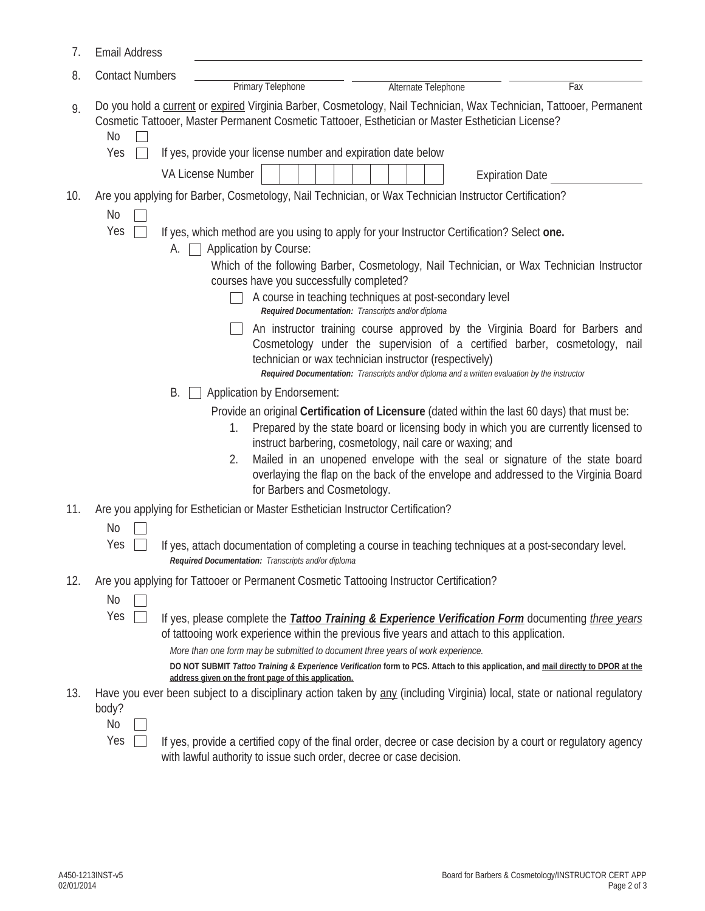| 7.  | <b>Email Address</b>   |                                                                                                                                        |                                                                                                                                                                                                                                                                                                                                                                                                                                                                                                                                                                                                                                                                                                                                                                                                                                                                                                                                                                                                                                                                                  |     |
|-----|------------------------|----------------------------------------------------------------------------------------------------------------------------------------|----------------------------------------------------------------------------------------------------------------------------------------------------------------------------------------------------------------------------------------------------------------------------------------------------------------------------------------------------------------------------------------------------------------------------------------------------------------------------------------------------------------------------------------------------------------------------------------------------------------------------------------------------------------------------------------------------------------------------------------------------------------------------------------------------------------------------------------------------------------------------------------------------------------------------------------------------------------------------------------------------------------------------------------------------------------------------------|-----|
| 8.  | <b>Contact Numbers</b> | <b>Primary Telephone</b>                                                                                                               | Alternate Telephone                                                                                                                                                                                                                                                                                                                                                                                                                                                                                                                                                                                                                                                                                                                                                                                                                                                                                                                                                                                                                                                              |     |
| 9.  | No<br>Yes              | If yes, provide your license number and expiration date below                                                                          | Do you hold a current or expired Virginia Barber, Cosmetology, Nail Technician, Wax Technician, Tattooer, Permanent<br>Cosmetic Tattooer, Master Permanent Cosmetic Tattooer, Esthetician or Master Esthetician License?                                                                                                                                                                                                                                                                                                                                                                                                                                                                                                                                                                                                                                                                                                                                                                                                                                                         | Fax |
|     |                        | VA License Number                                                                                                                      | <b>Expiration Date</b>                                                                                                                                                                                                                                                                                                                                                                                                                                                                                                                                                                                                                                                                                                                                                                                                                                                                                                                                                                                                                                                           |     |
| 10. | No<br>Yes<br>А.<br>В.  | Application by Course:<br>courses have you successfully completed?<br>Application by Endorsement:<br>1.<br>2.                          | Are you applying for Barber, Cosmetology, Nail Technician, or Wax Technician Instructor Certification?<br>If yes, which method are you using to apply for your Instructor Certification? Select one.<br>Which of the following Barber, Cosmetology, Nail Technician, or Wax Technician Instructor<br>A course in teaching techniques at post-secondary level<br>Required Documentation: Transcripts and/or diploma<br>An instructor training course approved by the Virginia Board for Barbers and<br>Cosmetology under the supervision of a certified barber, cosmetology, nail<br>technician or wax technician instructor (respectively)<br>Required Documentation: Transcripts and/or diploma and a written evaluation by the instructor<br>Provide an original Certification of Licensure (dated within the last 60 days) that must be:<br>Prepared by the state board or licensing body in which you are currently licensed to<br>instruct barbering, cosmetology, nail care or waxing; and<br>Mailed in an unopened envelope with the seal or signature of the state board |     |
|     |                        | for Barbers and Cosmetology.                                                                                                           | overlaying the flap on the back of the envelope and addressed to the Virginia Board                                                                                                                                                                                                                                                                                                                                                                                                                                                                                                                                                                                                                                                                                                                                                                                                                                                                                                                                                                                              |     |
| 11. | <b>No</b><br>Yes       | Are you applying for Esthetician or Master Esthetician Instructor Certification?<br>Required Documentation: Transcripts and/or diploma | If yes, attach documentation of completing a course in teaching techniques at a post-secondary level.                                                                                                                                                                                                                                                                                                                                                                                                                                                                                                                                                                                                                                                                                                                                                                                                                                                                                                                                                                            |     |
| 12. | No<br>Yes              | address given on the front page of this application.                                                                                   | Are you applying for Tattooer or Permanent Cosmetic Tattooing Instructor Certification?<br>If yes, please complete the <b>Tattoo Training &amp; Experience Verification Form</b> documenting three years<br>of tattooing work experience within the previous five years and attach to this application.<br>More than one form may be submitted to document three years of work experience.<br>DO NOT SUBMIT Tattoo Training & Experience Verification form to PCS. Attach to this application, and mail directly to DPOR at the                                                                                                                                                                                                                                                                                                                                                                                                                                                                                                                                                  |     |
| 13. | body?<br>No<br>Yes     | with lawful authority to issue such order, decree or case decision.                                                                    | Have you ever been subject to a disciplinary action taken by any (including Virginia) local, state or national regulatory<br>If yes, provide a certified copy of the final order, decree or case decision by a court or regulatory agency                                                                                                                                                                                                                                                                                                                                                                                                                                                                                                                                                                                                                                                                                                                                                                                                                                        |     |